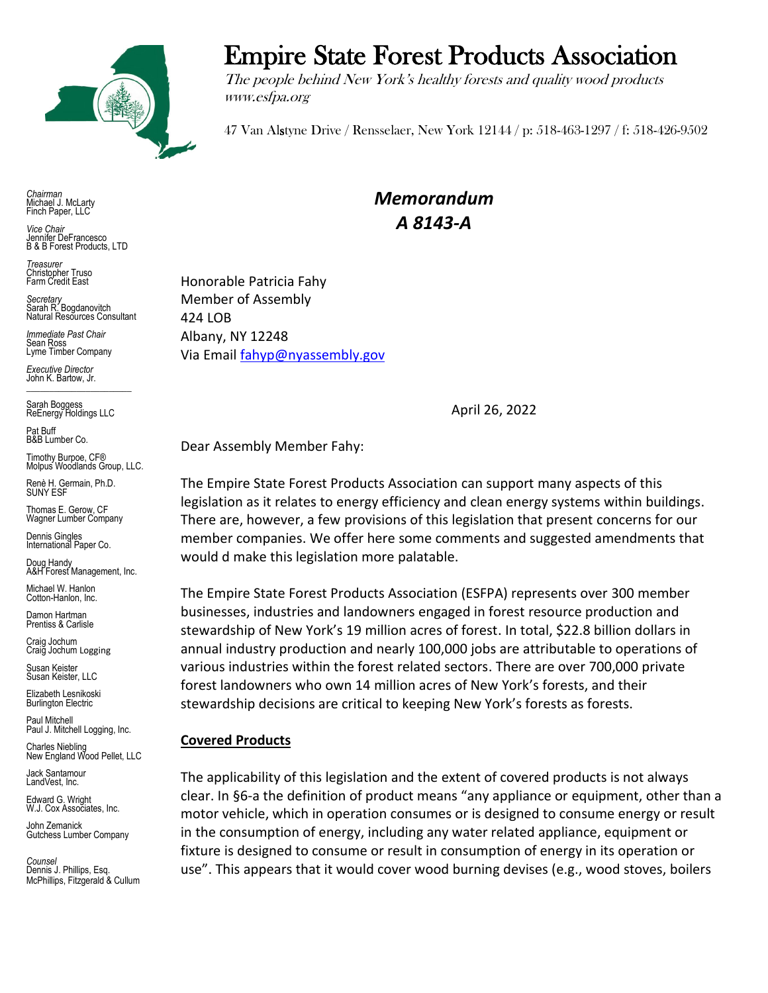

*Chairman* Michael J. McLarty Finch Paper, LLC

*Vice Chair* Jennifer DeFrancesco B & B Forest Products, LTD

*Treasurer* Christopher Truso Farm Credit East

*Secretary* Sarah R. Bogdanovitch Natural Resources Consultant

*Immediate Past Chair* Sean Ross Lyme Timber Company

*Executive Director* John K. Bartow, Jr.  $\mathcal{L}_\text{max}$  , we are the set of the set of the set of the set of the set of the set of the set of the set of the set of the set of the set of the set of the set of the set of the set of the set of the set of the set of

Sarah Boggess ReEnergy Holdings LLC

Pat Buff B&B Lumber Co.

Timothy Burpoe, CF® Molpus Woodlands Group, LLC.

Renè H. Germain, Ph.D. SUNY ESF

Thomas E. Gerow, CF Wagner Lumber Company

Dennis Gingles International Paper Co.

Doug Handy A&H Forest Management, Inc.

Michael W. Hanlon Cotton-Hanlon, Inc.

Damon Hartman Prentiss & Carlisle

Craig Jochum Craig Jochum Logging

Susan Keister Susan Keister, LLC

Elizabeth Lesnikoski **Burlington Electric** 

Paul Mitchell Paul J. Mitchell Logging, Inc.

Charles Niebling New England Wood Pellet, LLC

Jack Santamour LandVest, Inc.

Edward G. Wright W.J. Cox Associates, Inc.

John Zemanick Gutchess Lumber Company

*Counsel* Dennis J. Phillips, Esq. McPhillips, Fitzgerald & Cullum

# Empire State Forest Products Association

The people behind New York's healthy forests and quality wood products www.esfpa.org

47 Van Alstyne Drive / Rensselaer, New York 12144 / p: 518-463-1297 / f: 518-426-9502

*Memorandum A 8143-A*

Honorable Patricia Fahy Member of Assembly 424 LOB Albany, NY 12248 Via Email [fahyp@nyassembly.gov](mailto:fahyp@nyassembly.gov)

April 26, 2022

Dear Assembly Member Fahy:

The Empire State Forest Products Association can support many aspects of this legislation as it relates to energy efficiency and clean energy systems within buildings. There are, however, a few provisions of this legislation that present concerns for our member companies. We offer here some comments and suggested amendments that would d make this legislation more palatable.

The Empire State Forest Products Association (ESFPA) represents over 300 member businesses, industries and landowners engaged in forest resource production and stewardship of New York's 19 million acres of forest. In total, \$22.8 billion dollars in annual industry production and nearly 100,000 jobs are attributable to operations of various industries within the forest related sectors. There are over 700,000 private forest landowners who own 14 million acres of New York's forests, and their stewardship decisions are critical to keeping New York's forests as forests.

## **Covered Products**

The applicability of this legislation and the extent of covered products is not always clear. In §6-a the definition of product means "any appliance or equipment, other than a motor vehicle, which in operation consumes or is designed to consume energy or result in the consumption of energy, including any water related appliance, equipment or fixture is designed to consume or result in consumption of energy in its operation or use". This appears that it would cover wood burning devises (e.g., wood stoves, boilers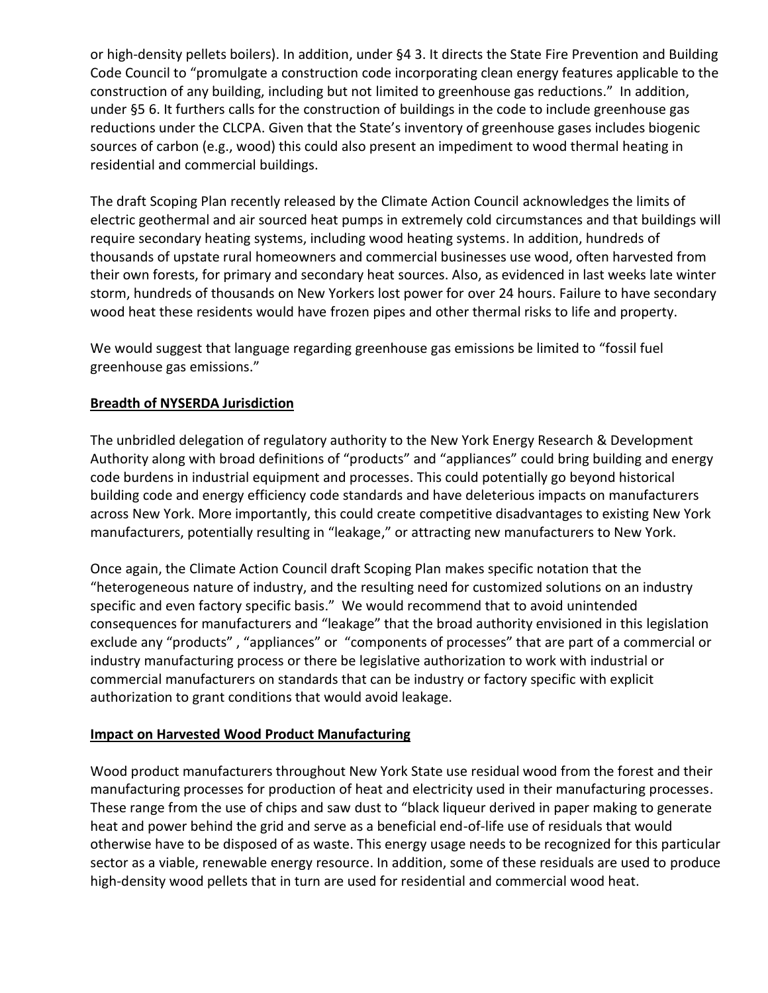or high-density pellets boilers). In addition, under §4 3. It directs the State Fire Prevention and Building Code Council to "promulgate a construction code incorporating clean energy features applicable to the construction of any building, including but not limited to greenhouse gas reductions." In addition, under §5 6. It furthers calls for the construction of buildings in the code to include greenhouse gas reductions under the CLCPA. Given that the State's inventory of greenhouse gases includes biogenic sources of carbon (e.g., wood) this could also present an impediment to wood thermal heating in residential and commercial buildings.

The draft Scoping Plan recently released by the Climate Action Council acknowledges the limits of electric geothermal and air sourced heat pumps in extremely cold circumstances and that buildings will require secondary heating systems, including wood heating systems. In addition, hundreds of thousands of upstate rural homeowners and commercial businesses use wood, often harvested from their own forests, for primary and secondary heat sources. Also, as evidenced in last weeks late winter storm, hundreds of thousands on New Yorkers lost power for over 24 hours. Failure to have secondary wood heat these residents would have frozen pipes and other thermal risks to life and property.

We would suggest that language regarding greenhouse gas emissions be limited to "fossil fuel greenhouse gas emissions."

## **Breadth of NYSERDA Jurisdiction**

The unbridled delegation of regulatory authority to the New York Energy Research & Development Authority along with broad definitions of "products" and "appliances" could bring building and energy code burdens in industrial equipment and processes. This could potentially go beyond historical building code and energy efficiency code standards and have deleterious impacts on manufacturers across New York. More importantly, this could create competitive disadvantages to existing New York manufacturers, potentially resulting in "leakage," or attracting new manufacturers to New York.

Once again, the Climate Action Council draft Scoping Plan makes specific notation that the "heterogeneous nature of industry, and the resulting need for customized solutions on an industry specific and even factory specific basis." We would recommend that to avoid unintended consequences for manufacturers and "leakage" that the broad authority envisioned in this legislation exclude any "products" , "appliances" or "components of processes" that are part of a commercial or industry manufacturing process or there be legislative authorization to work with industrial or commercial manufacturers on standards that can be industry or factory specific with explicit authorization to grant conditions that would avoid leakage.

#### **Impact on Harvested Wood Product Manufacturing**

Wood product manufacturers throughout New York State use residual wood from the forest and their manufacturing processes for production of heat and electricity used in their manufacturing processes. These range from the use of chips and saw dust to "black liqueur derived in paper making to generate heat and power behind the grid and serve as a beneficial end-of-life use of residuals that would otherwise have to be disposed of as waste. This energy usage needs to be recognized for this particular sector as a viable, renewable energy resource. In addition, some of these residuals are used to produce high-density wood pellets that in turn are used for residential and commercial wood heat.